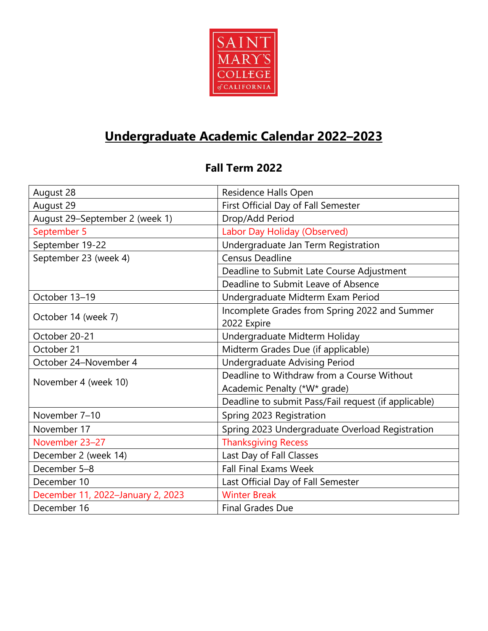

## **Undergraduate Academic Calendar 2022–2023**

## **Fall Term 2022**

| August 28                         | Residence Halls Open                                 |
|-----------------------------------|------------------------------------------------------|
| August 29                         | First Official Day of Fall Semester                  |
| August 29-September 2 (week 1)    | Drop/Add Period                                      |
| September 5                       | Labor Day Holiday (Observed)                         |
| September 19-22                   | Undergraduate Jan Term Registration                  |
| September 23 (week 4)             | <b>Census Deadline</b>                               |
|                                   | Deadline to Submit Late Course Adjustment            |
|                                   | Deadline to Submit Leave of Absence                  |
| October 13-19                     | Undergraduate Midterm Exam Period                    |
| October 14 (week 7)               | Incomplete Grades from Spring 2022 and Summer        |
|                                   | 2022 Expire                                          |
| October 20-21                     | Undergraduate Midterm Holiday                        |
| October 21                        | Midterm Grades Due (if applicable)                   |
| October 24-November 4             | <b>Undergraduate Advising Period</b>                 |
| November 4 (week 10)              | Deadline to Withdraw from a Course Without           |
|                                   | Academic Penalty (*W* grade)                         |
|                                   | Deadline to submit Pass/Fail request (if applicable) |
| November 7-10                     | Spring 2023 Registration                             |
| November 17                       | Spring 2023 Undergraduate Overload Registration      |
| November 23-27                    | <b>Thanksgiving Recess</b>                           |
| December 2 (week 14)              | Last Day of Fall Classes                             |
| December 5-8                      | <b>Fall Final Exams Week</b>                         |
| December 10                       | Last Official Day of Fall Semester                   |
| December 11, 2022-January 2, 2023 | <b>Winter Break</b>                                  |
| December 16                       | <b>Final Grades Due</b>                              |